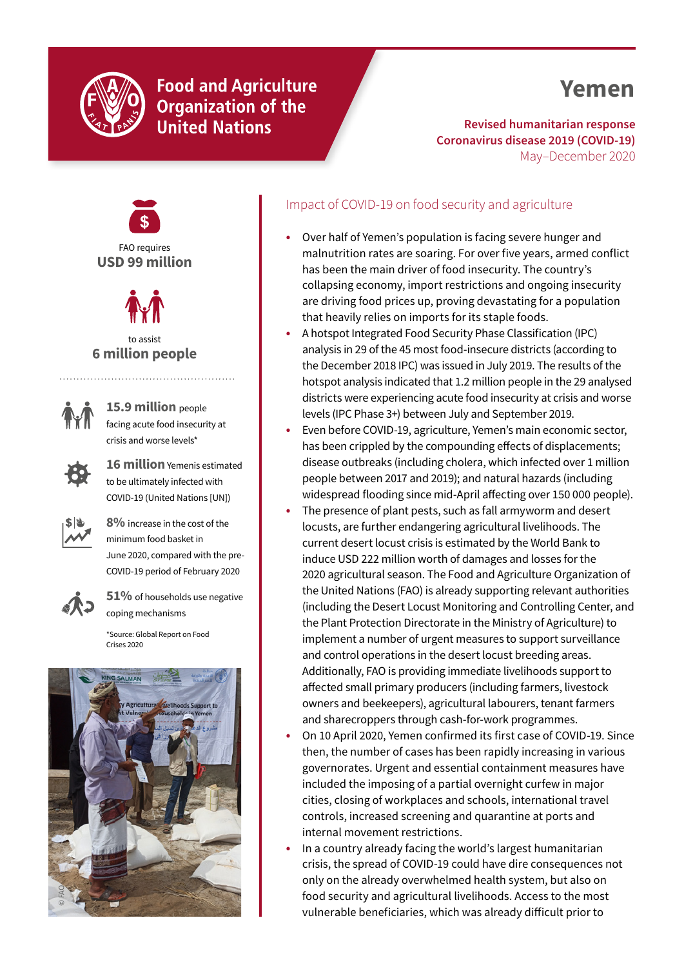

## **Food and Agriculture Organization of the United Nations**

# **Yemen**

**Revised humanitarian response Coronavirus disease 2019 (COVID-19)** May–December 2020





to assist **6 million people**



**15.9 million** people facing acute food insecurity at crisis and worse levels\*



**16 million** Yemenis estimated to be ultimately infected with COVID-19 (United Nations [UN])



**8%** increase in the cost of the minimum food basket in June 2020, compared with the pre-COVID-19 period of February 2020



**51%** of households use negative coping mechanisms

[\\*Source: Global Report on Food](https://www.fsinplatform.org/report/global-report-food-crises-2020/)  [Crises 2020](https://www.fsinplatform.org/report/global-report-food-crises-2020/)



## Impact of COVID-19 on food security and agriculture

- **•** Over half of Yemen's population is facing severe hunger and malnutrition rates are soaring. For over five years, armed conflict has been the main driver of food insecurity. The country's collapsing economy, import restrictions and ongoing insecurity are driving food prices up, proving devastating for a population that heavily relies on imports for its staple foods.
- **•** A hotspot Integrated Food Security Phase Classification (IPC) analysis in 29 of the 45 most food-insecure districts (according to the December 2018 IPC) was issued in July 2019. The results of the hotspot analysis indicated that 1.2 million people in the 29 analysed districts were experiencing acute food insecurity at crisis and worse levels (IPC Phase 3+) between July and September 2019.
- **•** Even before COVID-19, agriculture, Yemen's main economic sector, has been crippled by the compounding effects of displacements; disease outbreaks (including cholera, which infected over 1 million people between 2017 and 2019); and natural hazards (including widespread flooding since mid-April affecting over 150 000 people).
- **•** The presence of plant pests, such as fall armyworm and desert locusts, are further endangering agricultural livelihoods. The current desert locust crisis is estimated by the World Bank to induce USD 222 million worth of damages and losses for the 2020 agricultural season. The Food and Agriculture Organization of the United Nations (FAO) is already supporting relevant authorities (including the Desert Locust Monitoring and Controlling Center, and the Plant Protection Directorate in the Ministry of Agriculture) to implement a number of urgent measures to support surveillance and control operations in the desert locust breeding areas. Additionally, FAO is providing immediate livelihoods support to affected small primary producers (including farmers, livestock owners and beekeepers), agricultural labourers, tenant farmers and sharecroppers through cash-for-work programmes.
- **•** On 10 April 2020, Yemen confirmed its first case of COVID-19. Since then, the number of cases has been rapidly increasing in various governorates. Urgent and essential containment measures have included the imposing of a partial overnight curfew in major cities, closing of workplaces and schools, international travel controls, increased screening and quarantine at ports and internal movement restrictions.
- **•** In a country already facing the world's largest humanitarian crisis, the spread of COVID-19 could have dire consequences not only on the already overwhelmed health system, but also on food security and agricultural livelihoods. Access to the most vulnerable beneficiaries, which was already difficult prior to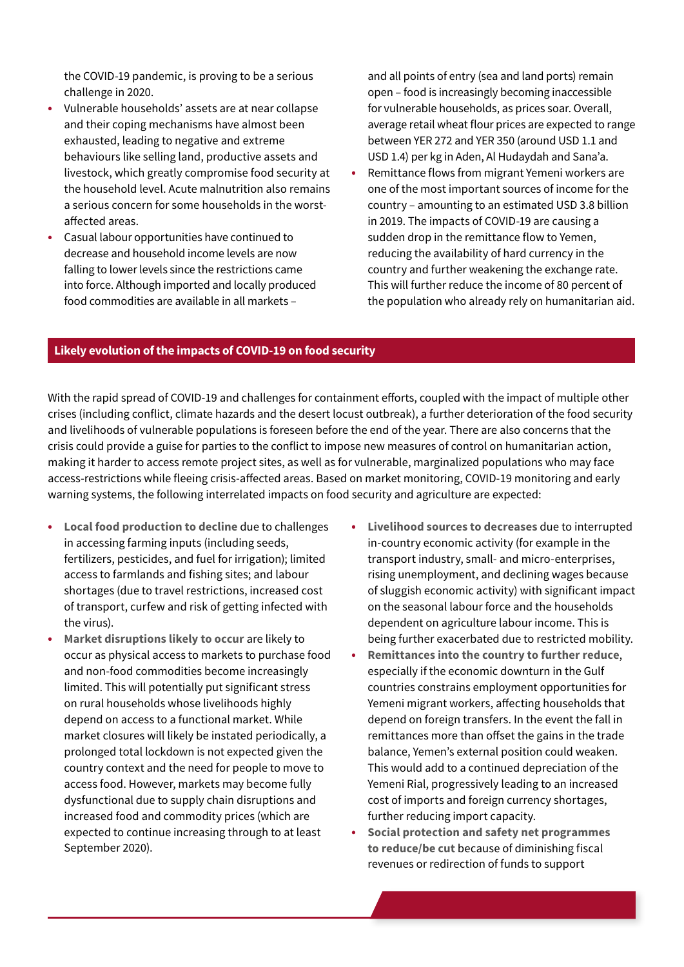the COVID-19 pandemic, is proving to be a serious challenge in 2020.

- **•** Vulnerable households' assets are at near collapse and their coping mechanisms have almost been exhausted, leading to negative and extreme behaviours like selling land, productive assets and livestock, which greatly compromise food security at the household level. Acute malnutrition also remains a serious concern for some households in the worstaffected areas.
- **•** Casual labour opportunities have continued to decrease and household income levels are now falling to lower levels since the restrictions came into force. Although imported and locally produced food commodities are available in all markets –

and all points of entry (sea and land ports) remain open – food is increasingly becoming inaccessible for vulnerable households, as prices soar. Overall, average retail wheat flour prices are expected to range between YER 272 and YER 350 (around USD 1.1 and USD 1.4) per kg in Aden, Al Hudaydah and Sana'a.

**•** Remittance flows from migrant Yemeni workers are one of the most important sources of income for the country – amounting to an estimated USD 3.8 billion in 2019. The impacts of COVID-19 are causing a sudden drop in the remittance flow to Yemen, reducing the availability of hard currency in the country and further weakening the exchange rate. This will further reduce the income of 80 percent of the population who already rely on humanitarian aid.

#### **Likely evolution of the impacts of COVID-19 on food security**

With the rapid spread of COVID-19 and challenges for containment efforts, coupled with the impact of multiple other crises (including conflict, climate hazards and the desert locust outbreak), a further deterioration of the food security and livelihoods of vulnerable populations is foreseen before the end of the year. There are also concerns that the crisis could provide a guise for parties to the conflict to impose new measures of control on humanitarian action, making it harder to access remote project sites, as well as for vulnerable, marginalized populations who may face access-restrictions while fleeing crisis-affected areas. Based on market monitoring, COVID-19 monitoring and early warning systems, the following interrelated impacts on food security and agriculture are expected:

- **• Local food production to decline** due to challenges in accessing farming inputs (including seeds, fertilizers, pesticides, and fuel for irrigation); limited access to farmlands and fishing sites; and labour shortages (due to travel restrictions, increased cost of transport, curfew and risk of getting infected with the virus).
- **• Market disruptions likely to occur** are likely to occur as physical access to markets to purchase food and non-food commodities become increasingly limited. This will potentially put significant stress on rural households whose livelihoods highly depend on access to a functional market. While market closures will likely be instated periodically, a prolonged total lockdown is not expected given the country context and the need for people to move to access food. However, markets may become fully dysfunctional due to supply chain disruptions and increased food and commodity prices (which are expected to continue increasing through to at least September 2020).
- **• Livelihood sources to decreases** due to interrupted in-country economic activity (for example in the transport industry, small- and micro-enterprises, rising unemployment, and declining wages because of sluggish economic activity) with significant impact on the seasonal labour force and the households dependent on agriculture labour income. This is being further exacerbated due to restricted mobility.
- **• Remittances into the country to further reduce**, especially if the economic downturn in the Gulf countries constrains employment opportunities for Yemeni migrant workers, affecting households that depend on foreign transfers. In the event the fall in remittances more than offset the gains in the trade balance, Yemen's external position could weaken. This would add to a continued depreciation of the Yemeni Rial, progressively leading to an increased cost of imports and foreign currency shortages, further reducing import capacity.
- **• Social protection and safety net programmes to reduce/be cut** because of diminishing fiscal revenues or redirection of funds to support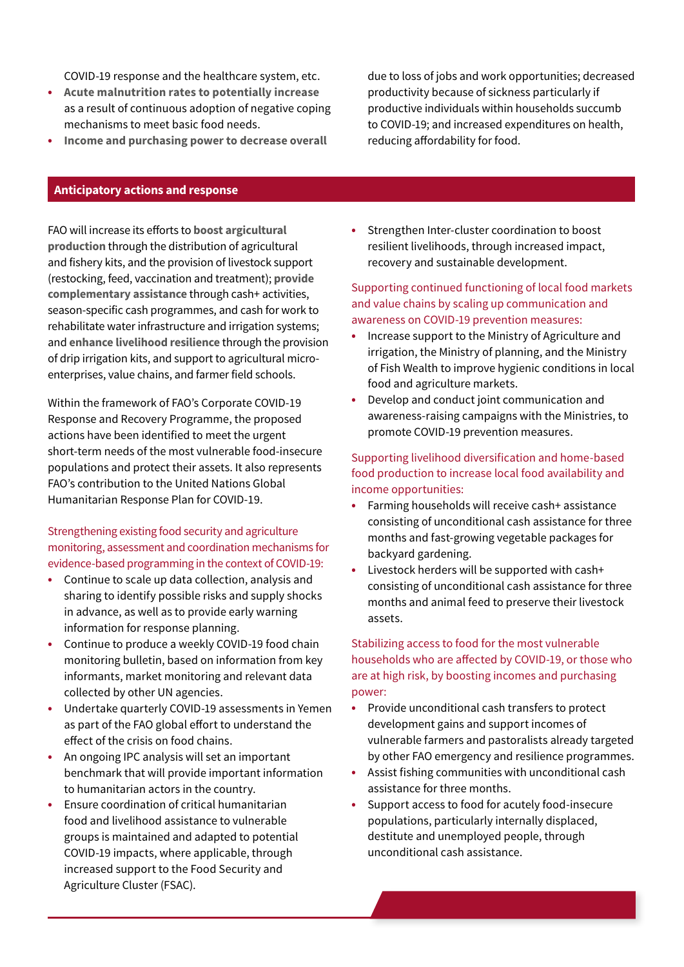COVID-19 response and the healthcare system, etc.

- **• Acute malnutrition rates to potentially increase** as a result of continuous adoption of negative coping mechanisms to meet basic food needs.
- **• Income and purchasing power to decrease overall**

due to loss of jobs and work opportunities; decreased productivity because of sickness particularly if productive individuals within households succumb to COVID-19; and increased expenditures on health, reducing affordability for food.

#### **Anticipatory actions and response**

FAO will increase its efforts to **boost argicultural production** through the distribution of agricultural and fishery kits, and the provision of livestock support (restocking, feed, vaccination and treatment); **provide complementary assistance** through cash+ activities, season-specific cash programmes, and cash for work to rehabilitate water infrastructure and irrigation systems; and **enhance livelihood resilience** through the provision of drip irrigation kits, and support to agricultural microenterprises, value chains, and farmer field schools.

Within the framework of FAO's Corporate COVID-19 Response and Recovery Programme, the proposed actions have been identified to meet the urgent short-term needs of the most vulnerable food-insecure populations and protect their assets. It also represents FAO's contribution to the United Nations Global Humanitarian Response Plan for COVID-19.

### Strengthening existing food security and agriculture monitoring, assessment and coordination mechanisms for evidence-based programming in the context of COVID-19:

- **•** Continue to scale up data collection, analysis and sharing to identify possible risks and supply shocks in advance, as well as to provide early warning information for response planning.
- **•** Continue to produce a weekly COVID-19 food chain monitoring bulletin, based on information from key informants, market monitoring and relevant data collected by other UN agencies.
- **•** Undertake quarterly COVID-19 assessments in Yemen as part of the FAO global effort to understand the effect of the crisis on food chains.
- **•** An ongoing IPC analysis will set an important benchmark that will provide important information to humanitarian actors in the country.
- **•** Ensure coordination of critical humanitarian food and livelihood assistance to vulnerable groups is maintained and adapted to potential COVID-19 impacts, where applicable, through increased support to the Food Security and Agriculture Cluster (FSAC).

**•** Strengthen Inter-cluster coordination to boost resilient livelihoods, through increased impact, recovery and sustainable development.

#### Supporting continued functioning of local food markets and value chains by scaling up communication and awareness on COVID-19 prevention measures:

- **•** Increase support to the Ministry of Agriculture and irrigation, the Ministry of planning, and the Ministry of Fish Wealth to improve hygienic conditions in local food and agriculture markets.
- **•** Develop and conduct joint communication and awareness-raising campaigns with the Ministries, to promote COVID-19 prevention measures.

#### Supporting livelihood diversification and home-based food production to increase local food availability and income opportunities:

- **•** Farming households will receive cash+ assistance consisting of unconditional cash assistance for three months and fast-growing vegetable packages for backyard gardening.
- **•** Livestock herders will be supported with cash+ consisting of unconditional cash assistance for three months and animal feed to preserve their livestock assets.

### Stabilizing access to food for the most vulnerable households who are affected by COVID-19, or those who are at high risk, by boosting incomes and purchasing power:

- **•** Provide unconditional cash transfers to protect development gains and support incomes of vulnerable farmers and pastoralists already targeted by other FAO emergency and resilience programmes.
- **•** Assist fishing communities with unconditional cash assistance for three months.
- **•** Support access to food for acutely food-insecure populations, particularly internally displaced, destitute and unemployed people, through unconditional cash assistance.